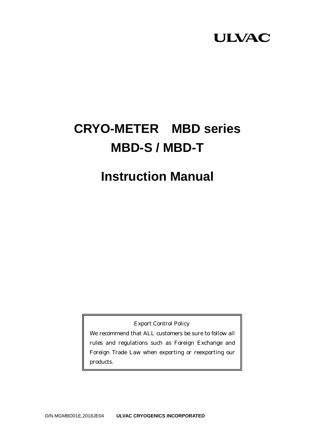# **ULVAC**

# **CRYO-METER MBD series MBD-S / MBD-T**

# **Instruction Manual**

Export Control Policy

We recommend that ALL customers be sure to follow all rules and regulations such as Foreign Exchange and Foreign Trade Law when exporting or reexporting our products.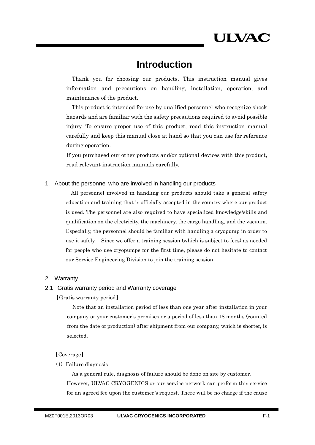## **Introduction**

Thank you for choosing our products. This instruction manual gives information and precautions on handling, installation, operation, and maintenance of the product.

This product is intended for use by qualified personnel who recognize shock hazards and are familiar with the safety precautions required to avoid possible injury. To ensure proper use of this product, read this instruction manual carefully and keep this manual close at hand so that you can use for reference during operation.

If you purchased our other products and/or optional devices with this product, read relevant instruction manuals carefully.

#### 1. About the personnel who are involved in handling our products

All personnel involved in handling our products should take a general safety education and training that is officially accepted in the country where our product is used. The personnel are also required to have specialized knowledge/skills and qualification on the electricity, the machinery, the cargo handling, and the vacuum. Especially, the personnel should be familiar with handling a cryopump in order to use it safely. Since we offer a training session (which is subject to fees) as needed for people who use cryopumps for the first time, please do not hesitate to contact our Service Engineering Division to join the training session.

#### 2. Warranty

#### 2.1 Gratis warranty period and Warranty coverage

【Gratis warranty period】

Note that an installation period of less than one year after installation in your company or your customer's premises or a period of less than 18 months (counted from the date of production) after shipment from our company, which is shorter, is selected.

#### 【Coverage】

(1) Failure diagnosis

As a general rule, diagnosis of failure should be done on site by customer. However, ULVAC CRYOGENICS or our service network can perform this service for an agreed fee upon the customer's request. There will be no charge if the cause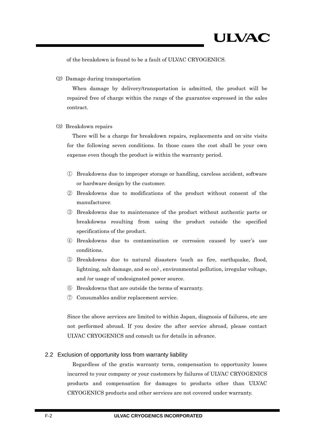of the breakdown is found to be a fault of ULVAC CRYOGENICS.

(2) Damage during transportation

When damage by delivery/transportation is admitted, the product will be repaired free of charge within the range of the guarantee expressed in the sales contract.

#### (3) Breakdown repairs

There will be a charge for breakdown repairs, replacements and on-site visits for the following seven conditions. In those cases the cost shall be your own expense even though the product is within the warranty period.

- ① Breakdowns due to improper storage or handling, careless accident, software or hardware design by the customer.
- ② Breakdowns due to modifications of the product without consent of the manufacturer.
- ③ Breakdowns due to maintenance of the product without authentic parts or breakdowns resulting from using the product outside the specified specifications of the product.
- ④ Breakdowns due to contamination or corrosion caused by user's use conditions.
- ⑤ Breakdowns due to natural disasters (such as fire, earthquake, flood, lightning, salt damage, and so on) , environmental pollution, irregular voltage, and /or usage of undesignated power source.
- ⑥ Breakdowns that are outside the terms of warranty.
- ⑦ Consumables and/or replacement service.

Since the above services are limited to within Japan, diagnosis of failures, etc are not performed abroad. If you desire the after service abroad, please contact ULVAC CRYOGENICS and consult us for details in advance.

#### 2.2 Exclusion of opportunity loss from warranty liability

Regardless of the gratis warranty term, compensation to opportunity losses incurred to your company or your customers by failures of ULVAC CRYOGENICS products and compensation for damages to products other than ULVAC CRYOGENICS products and other services are not covered under warranty.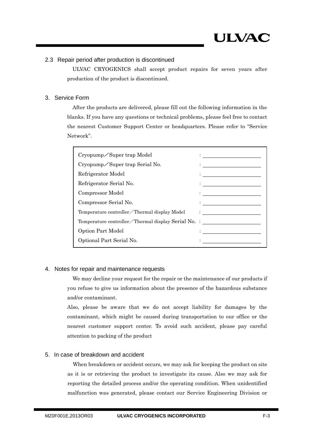#### 2.3 Repair period after production is discontinued

ULVAC CRYOGENICS shall accept product repairs for seven years after production of the product is discontinued.

#### 3. Service Form

After the products are delivered, please fill out the following information in the blanks. If you have any questions or technical problems, please feel free to contact the nearest Customer Support Center or headquarters. Please refer to "Service Network".

| Cryopump/Super trap Model                                  |                                                                                                                                                                                                                               |
|------------------------------------------------------------|-------------------------------------------------------------------------------------------------------------------------------------------------------------------------------------------------------------------------------|
| Cryopump/Super trap Serial No.                             |                                                                                                                                                                                                                               |
| Refrigerator Model                                         | <u> 1989 - Johann Stein, Amerikaansk politiker (</u>                                                                                                                                                                          |
| Refrigerator Serial No.                                    |                                                                                                                                                                                                                               |
| Compressor Model                                           | <u> 1989 - John Stone, Amerikaansk politiker (</u>                                                                                                                                                                            |
| Compressor Serial No.                                      | the control of the control of the control of the control of the control of the control of the control of the control of the control of the control of the control of the control of the control of the control of the control |
| Temperature controller/Thermal display Model               | Design and the state of the state                                                                                                                                                                                             |
| Temperature controller/Thermal display Serial No. $\colon$ |                                                                                                                                                                                                                               |
| <b>Option Part Model</b>                                   | <u> 1989 - Andrea State Barbara, politik e</u>                                                                                                                                                                                |
| Optional Part Serial No.                                   |                                                                                                                                                                                                                               |
|                                                            |                                                                                                                                                                                                                               |

#### 4. Notes for repair and maintenance requests

We may decline your request for the repair or the maintenance of our products if you refuse to give us information about the presence of the hazardous substance and/or contaminant.

Also, please be aware that we do not accept liability for damages by the contaminant, which might be caused during transportation to our office or the nearest customer support center. To avoid such accident, please pay careful attention to packing of the product

#### 5.In case of breakdown and accident

When breakdown or accident occurs, we may ask for keeping the product on site as it is or retrieving the product to investigate its cause. Also we may ask for reporting the detailed process and/or the operating condition. When unidentified malfunction was generated, please contact our Service Engineering Division or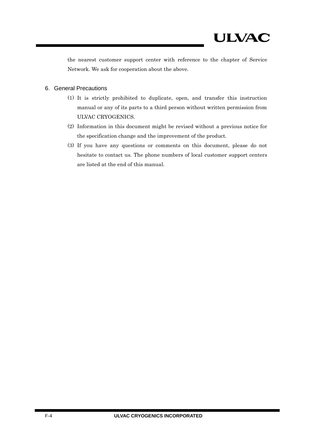the nearest customer support center with reference to the chapter of Service Network. We ask for cooperation about the above.

#### 6.General Precautions

- (1) It is strictly prohibited to duplicate, open, and transfer this instruction manual or any of its parts to a third person without written permission from ULVAC CRYOGENICS.
- (2) Information in this document might be revised without a previous notice for the specification change and the improvement of the product.
- (3) If you have any questions or comments on this document, please do not hesitate to contact us. The phone numbers of local customer support centers are listed at the end of this manual.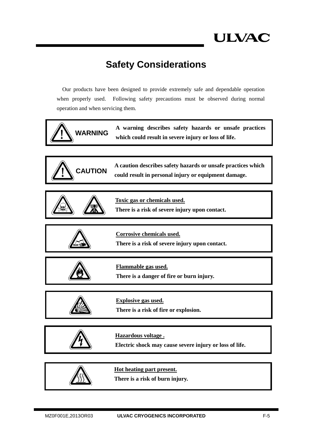

## **Safety Considerations**

Our products have been designed to provide extremely safe and dependable operation when properly used. Following safety precautions must be observed during normal operation and when servicing them.

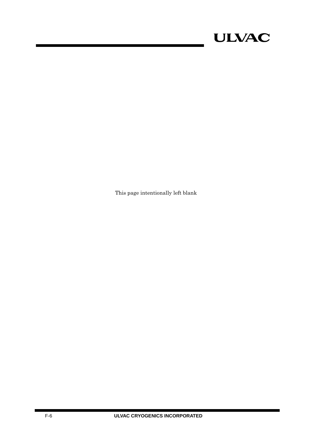# **ULVAC**

This page intentionally left blank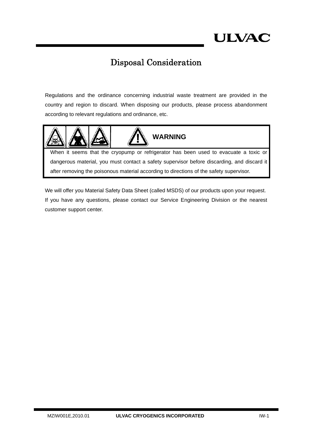UL VAC

## Disposal Consideration

Regulations and the ordinance concerning industrial waste treatment are provided in the country and region to discard. When disposing our products, please process abandonment according to relevant regulations and ordinance, etc.



after removing the poisonous material according to directions of the safety supervisor.

We will offer you Material Safety Data Sheet (called MSDS) of our products upon your request. If you have any questions, please contact our Service Engineering Division or the nearest customer support center.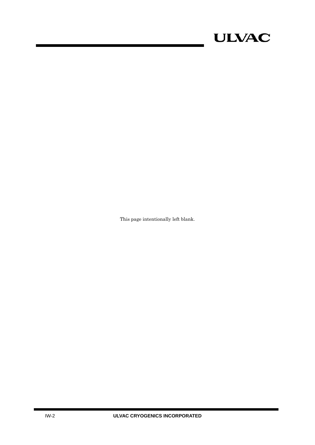# **ULVAC**

This page intentionally left blank.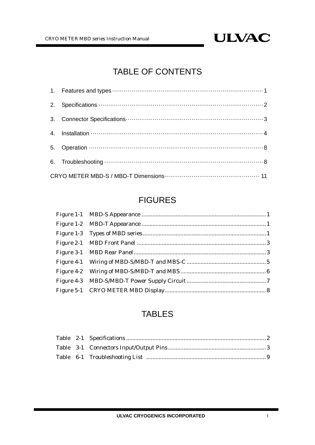

## TABLE OF CONTENTS

## **FIGURES**

## **TABLES**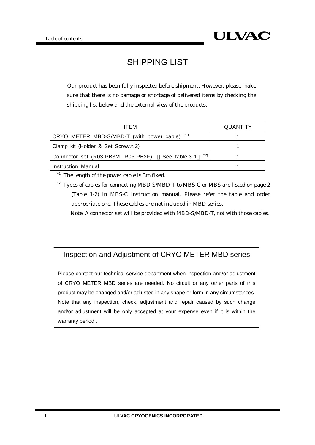

## SHIPPING LIST

Our product has been fully inspected before shipment. However, please make sure that there is no damage or shortage of delivered items by checking the shipping list below and the external view of the products.

| <b>ITEM</b>                                                 | QUANTITY |
|-------------------------------------------------------------|----------|
| $\vert$ CRYO METER MBD-S/MBD-T (with power cable) $(1)$     |          |
| Clamp kit (Holder & Set Screw × 2)                          |          |
| See table $3-1$ $(2)$<br>Connector set (R03-PB3M, R03-PB2F) |          |
| Instruction Manual                                          |          |

(\*1) The length of the power cable is 3m fixed.

(\*2) Types of cables for connecting MBD-S/MBD-T to MBS-C or MBS are listed on page 2 (Table 1-2) in MBS-C instruction manual. Please refer the table and order appropriate one. These cables are not included in MBD series.

Note: A connector set will be provided with MBD-S/MBD-T, not with those cables.

### Inspection and Adjustment of CRYO METER MBD series

Please contact our technical service department when inspection and/or adjustment of CRYO METER MBD series are needed. No circuit or any other parts of this product may be changed and/or adjusted in any shape or form in any circumstances. Note that any inspection, check, adjustment and repair caused by such change and/or adjustment will be only accepted at your expense even if it is within the warranty period .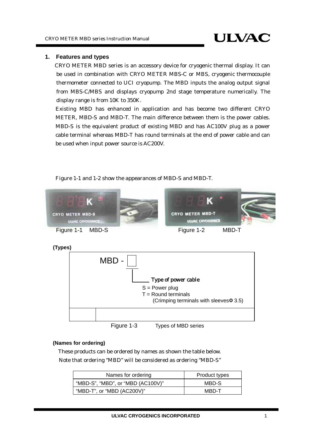

#### **1. Features and types**

CRYO METER MBD series is an accessory device for cryogenic thermal display. It can be used in combination with CRYO METER MBS-C or MBS, cryogenic thermocouple thermometer connected to UCI cryopump. The MBD inputs the analog output signal from MBS-C/MBS and displays cryopump 2nd stage temperature numerically. The display range is from 10K to 350K.

Existing MBD has enhanced in application and has become two different CRYO METER, MBD-S and MBD-T. The main difference between them is the power cables. MBD-S is the equivalent product of existing MBD and has AC100V plug as a power cable terminal whereas MBD-T has round terminals at the end of power cable and can be used when input power source is AC200V.



Figure 1-1 and 1-2 show the appearances of MBD-S and MBD-T.

#### **(Names for ordering)**

 These products can be ordered by names as shown the table below. Note that ordering "MBD" will be considered as ordering "MBD-S"

| Names for ordering                | Product types |
|-----------------------------------|---------------|
| "MBD-S", "MBD", or "MBD (AC100V)" | MBD-S         |
| "MBD-T", or "MBD (AC200V)"        | MBD-T         |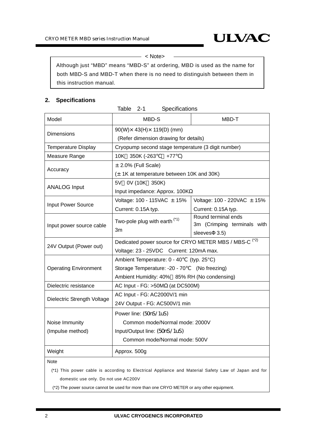

 $\leftarrow$  < Note>

Although just "MBD" means "MBD-S" at ordering, MBD is used as the name for both MBD-S and MBD-T when there is no need to distinguish between them in this instruction manual.

### **2. Specifications**

|                                                                                                       | <b>Table</b><br>Specifications<br>$2 - 1$              |                                         |  |
|-------------------------------------------------------------------------------------------------------|--------------------------------------------------------|-----------------------------------------|--|
| Model                                                                                                 | MBD-S                                                  | MBD-T                                   |  |
| Dimensions                                                                                            | $90(W) \times 43(H) \times 119(D)$ (mm)                |                                         |  |
|                                                                                                       | (Refer dimension drawing for details)                  |                                         |  |
| <b>Temperature Display</b>                                                                            | Cryopump second stage temperature (3 digit number)     |                                         |  |
| Measure Range                                                                                         | 10K<br>350K (-263<br>$+77$<br>$\rightarrow$            |                                         |  |
| Accuracy                                                                                              | $\pm$ 2.0% (Full Scale)                                |                                         |  |
|                                                                                                       | $(\pm$ 1K at temperature between 10K and 30K)          |                                         |  |
| <b>ANALOG Input</b>                                                                                   | 5V 0V (10K 350K)                                       |                                         |  |
|                                                                                                       | Input impedance: Approx. 100K                          |                                         |  |
| <b>Input Power Source</b>                                                                             | Voltage: $100 - 115\text{VAC} \pm 15\%$                | Voltage: $100 - 220\text{VAC} \pm 15\%$ |  |
|                                                                                                       | Current: 0.15A typ.                                    | Current: 0.15A typ.                     |  |
|                                                                                                       | Two-pole plug with earth (*1)                          | Round terminal ends                     |  |
| Input power source cable                                                                              | 3m                                                     | 3m (Crimping terminals with             |  |
|                                                                                                       |                                                        | sleeves 3.5)                            |  |
| 24V Output (Power out)                                                                                | Dedicated power source for CRYO METER MBS / MBS-C (*2) |                                         |  |
|                                                                                                       | Voltage: 23 - 25VDC Current: 120mA max.                |                                         |  |
|                                                                                                       | Ambient Temperature: 0 - 40<br>(typ. 25°C)             |                                         |  |
| <b>Operating Environment</b>                                                                          | Storage Temperature: -20 - 70<br>(No freezing)         |                                         |  |
|                                                                                                       | Ambient Humidity: 40% 85% RH (No condensing)           |                                         |  |
| Dielectric resistance                                                                                 | AC Input - FG: >50M (at DC500M)                        |                                         |  |
| Dielectric Strength Voltage                                                                           | AC Input - FG: AC2000V/1 min                           |                                         |  |
|                                                                                                       | 24V Output - FG: AC500V/1 min                          |                                         |  |
|                                                                                                       | Power line: (50nS/1uS)                                 |                                         |  |
| Noise Immunity<br>Common mode/Normal mode: 2000V<br>(Impulse method)<br>Input/Output line: (50nS/1uS) |                                                        |                                         |  |
|                                                                                                       |                                                        |                                         |  |
|                                                                                                       | Common mode/Normal mode: 500V                          |                                         |  |
| Weight                                                                                                | Approx. 500g                                           |                                         |  |
| <b>Note</b>                                                                                           |                                                        |                                         |  |
| (*1) This power cable is according to Electrical Appliance and Material Safety Law of Japan and for   |                                                        |                                         |  |

domestic use only. Do not use AC200V

(\*2) The power source cannot be used for more than one CRYO METER or any other equipment.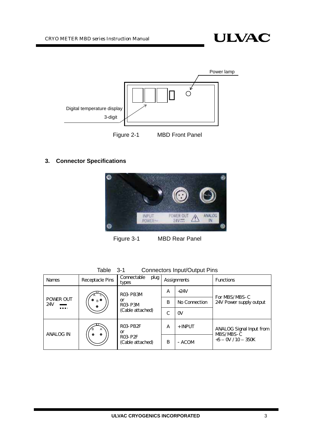





### **3. Connector Specifications**



Figure 3-1 MBD Rear Panel

Table 3-1 Connectors Input/Output Pins

| <b>Names</b>         | Receptacle Pins                   | Connectable<br>plug<br>types                              |   | Assignments   | <b>Functions</b>                      |
|----------------------|-----------------------------------|-----------------------------------------------------------|---|---------------|---------------------------------------|
| POWER OUT<br>24V<br> | $B^8$<br>⊗<br>⊗                   | RO3-PB3M<br>or<br>RO3-P3M<br>(Cable attached)             | A | $+24V$        | For MBS/MBS-C                         |
|                      |                                   |                                                           | B | No Connection | 24V Power supply output               |
|                      |                                   |                                                           | С | $\alpha$      |                                       |
| <b>ANALOG IN</b>     | $\overline{A}$<br>$^{\circ}$<br>۰ | RO3-PB2F<br>or<br>$R$ $O$ $R$ $P$ $T$<br>(Cable attached) | A | $+$ INPUT     | ANALOG Signal Input from<br>MBS/MBS-C |
|                      |                                   |                                                           | B | - ACOM        | $+5 - 0V/10 - 350K$                   |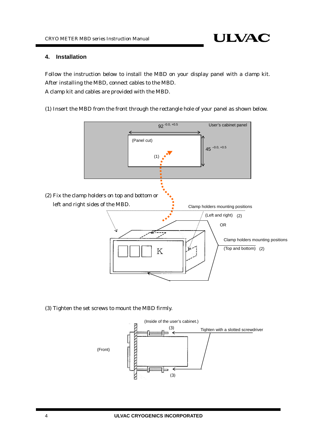

#### **4. Installation**

Follow the instruction below to install the MBD on your display panel with a clamp kit. After installing the MBD, connect cables to the MBD. A clamp kit and cables are provided with the MBD.

(1) Insert the MBD from the front through the rectangle hole of your panel as shown below.



(3) Tighten the set screws to mount the MBD firmly.

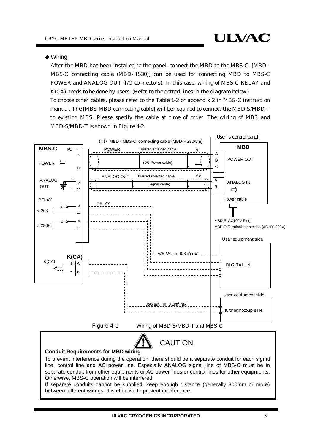#### Wiring

 After the MBD has been installed to the panel, connect the MBD to the MBS-C. [MBD - MBS-C connecting cable (MBD-HS30)] can be used for connecting MBD to MBS-C POWER and ANALOG OUT (I/O connectors). In this case, wiring of MBS-C RELAY and K(CA) needs to be done by users. (Refer to the dotted lines in the diagram below.)

To choose other cables, please refer to the Table 1-2 or appendix 2 in MBS-C instruction manual. The [MBS-MBD connecting cable] will be required to connect the MBD-S/MBD-T to existing MBS. Please specify the cable at time of order. The wiring of MBS and MBD-S/MBD-T is shown in Figure 4-2.



If separate conduits cannot be supplied, keep enough distance (generally 300mm or more) between different wirings. It is effective to prevent interference.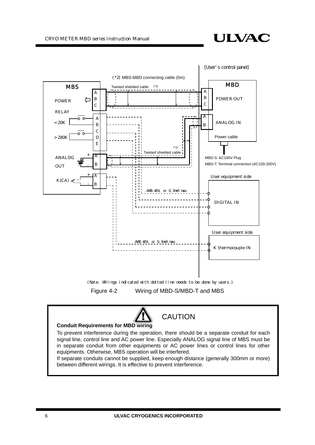





#### **Conduit Requirements for MBD wiring**

To prevent interference during the operation, there should be a separate conduit for each signal line, control line and AC power line. Especially ANALOG signal line of MBS must be in separate conduit from other equipments or AC power lines or control lines for other equipments. Otherwise, MBS operation will be interfered.

If separate conduits cannot be supplied, keep enough distance (generally 300mm or more) between different wirings. It is effective to prevent interference.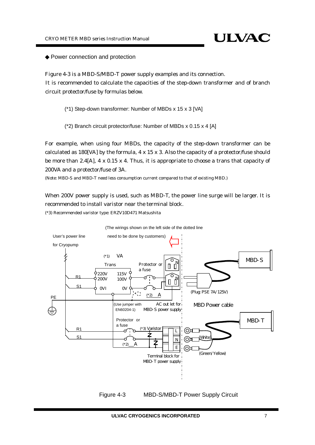

Power connection and protection

Figure 4-3 is a MBD-S/MBD-T power supply examples and its connection. It is recommended to calculate the capacities of the step-down transformer and of branch circuit protector/fuse by formulas below.

(\*1) Step-down transformer: Number of MBDs x 15 x 3 [VA]

(\*2) Branch circuit protector/fuse: Number of MBDs x 0.15 x 4 [A]

For example, when using four MBDs, the capacity of the step-down transformer can be calculated as 180[VA] by the formula,  $4 \times 15 \times 3$ . Also the capacity of a protector/fuse should be more than 2.4[A], 4 x 0.15 x 4. Thus, it is appropriate to choose a trans that capacity of 200VA and a protector/fuse of 3A.

(Note: MBD-S and MBD-T need less consumption current compared to that of existing MBD.)

When 200V power supply is used, such as MBD-T, the power line surge will be larger. It is recommended to install varistor near the terminal block.

(\*3) Recommended varistor type: ERZV10D471 Matsushita



Figure 4-3 MBD-S/MBD-T Power Supply Circuit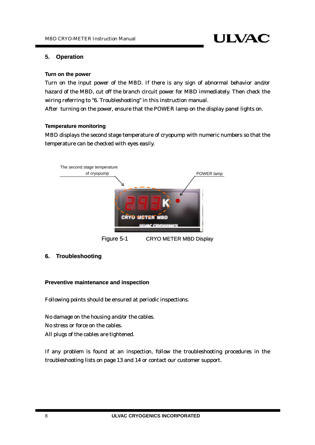

#### **5. Operation**

#### **Turn on the power**

Turn on the input power of the MBD. If there is any sign of abnormal behavior and/or hazard of the MBD, cut off the branch circuit power for MBD immediately. Then check the wiring referring to "6. Troubleshooting" in this instruction manual.

After turning on the power, ensure that the POWER lamp on the display panel lights on.

#### **Temperature monitoring**

MBD displays the second stage temperature of cryopump with numeric numbers so that the temperature can be checked with eyes easily.



Figure 5-1 CRYO METER MBD Display

#### **6.** Troubleshooting

#### **Preventive maintenance and inspection**

Following points should be ensured at periodic inspections.

No damage on the housing and/or the cables. No stress or force on the cables. All plugs of the cables are tightened.

If any problem is found at an inspection, follow the troubleshooting procedures in the troubleshooting lists on page 13 and 14 or contact our customer support.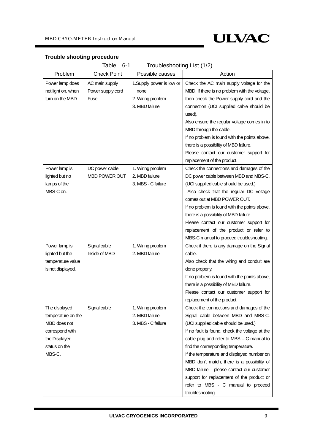

#### **Trouble shooting procedure**

|                    | Table<br>6-1         | Troubleshooting List (1/2) |                                                |
|--------------------|----------------------|----------------------------|------------------------------------------------|
| Problem            | <b>Check Point</b>   | Possible causes            | Action                                         |
| Power lamp does    | AC main supply       | 1. Supply power is low or  | Check the AC main supply voltage for the       |
| not light on, when | Power supply cord    | none.                      | MBD. If there is no problem with the voltage,  |
| turn on the MBD.   | Fuse                 | 2. Wiring problem          | then check the Power supply cord and the       |
|                    |                      | 3. MBD failure             | connection (UCI supplied cable should be       |
|                    |                      |                            | used).                                         |
|                    |                      |                            | Also ensure the regular voltage comes in to    |
|                    |                      |                            | MBD through the cable.                         |
|                    |                      |                            | If no problem is found with the points above,  |
|                    |                      |                            | there is a possibility of MBD failure.         |
|                    |                      |                            | Please contact our customer support for        |
|                    |                      |                            | replacement of the product.                    |
| Power lamp is      | DC power cable       | 1. Wiring problem          | Check the connections and damages of the       |
| lighted but no     | <b>MBD POWER OUT</b> | 2. MBD failure             | DC power cable between MBD and MBS-C.          |
| lamps of the       |                      | 3. MBS - C failure         | (UCI supplied cable should be used.)           |
| MBS-C on.          |                      |                            | Also check that the regular DC voltage         |
|                    |                      |                            | comes out at MBD POWER OUT.                    |
|                    |                      |                            | If no problem is found with the points above,  |
|                    |                      |                            | there is a possibility of MBD failure.         |
|                    |                      |                            | Please contact our customer support for        |
|                    |                      |                            | replacement of the product or refer to         |
|                    |                      |                            | MBS-C manual to proceed troubleshooting.       |
| Power lamp is      | Signal cable         | 1. Wiring problem          | Check if there is any damage on the Signal     |
| lighted but the    | Inside of MBD        | 2. MBD failure             | cable.                                         |
| temperature value  |                      |                            | Also check that the wiring and conduit are     |
| is not displayed.  |                      |                            | done properly.                                 |
|                    |                      |                            | If no problem is found with the points above,  |
|                    |                      |                            | there is a possibility of MBD failure.         |
|                    |                      |                            | Please contact our customer support for        |
|                    |                      |                            | replacement of the product.                    |
| The displayed      | Signal cable         | 1. Wiring problem          | Check the connections and damages of the       |
| temperature on the |                      | 2. MBD failure             | Signal cable between MBD and MBS-C.            |
| MBD does not       |                      | 3. MBS - C failure         | (UCI supplied cable should be used.)           |
| correspond with    |                      |                            | If no fault is found, check the voltage at the |
| the Displayed      |                      |                            | cable plug and refer to $MBS - C$ manual to    |
| status on the      |                      |                            | find the corresponding temperature.            |
| MBS-C.             |                      |                            | If the temperature and displayed number on     |
|                    |                      |                            | MBD don't match, there is a possibility of     |
|                    |                      |                            | MBD failure. please contact our customer       |
|                    |                      |                            | support for replacement of the product or      |
|                    |                      |                            | refer to MBS - C manual to proceed             |
|                    |                      |                            | troubleshooting.                               |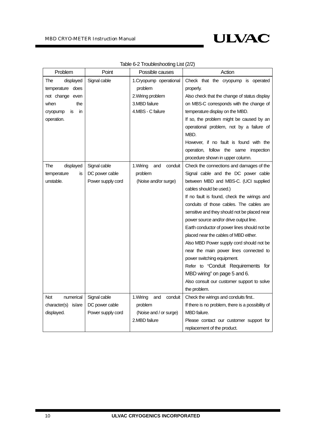

| Problem                 | Point             | Possible causes             | Action                                            |
|-------------------------|-------------------|-----------------------------|---------------------------------------------------|
| displayed<br>The        | Signal cable      | 1. Cryopump operational     | Check that the cryopump is operated               |
| temperature does        |                   | problem                     | properly.                                         |
| not change even         |                   | 2. Wiring problem           | Also check that the change of status display      |
| when<br>the             |                   | 3.MBD failure               | on MBS-C corresponds with the change of           |
| in<br>cryopump<br>is    |                   | 4.MBS - C failure           | temperature display on the MBD.                   |
| operation.              |                   |                             | If so, the problem might be caused by an          |
|                         |                   |                             | operational problem, not by a failure of          |
|                         |                   |                             | MBD.                                              |
|                         |                   |                             | However, if no fault is found with the            |
|                         |                   |                             | operation, follow the same inspection             |
|                         |                   |                             | procedure shown in upper column.                  |
| The<br>displayed        | Signal cable      | 1. Wiring<br>conduit<br>and | Check the connections and damages of the          |
| temperature<br>is       | DC power cable    | problem                     | Signal cable and the DC power cable               |
| unstable.               | Power supply cord | (Noise and/or surge)        | between MBD and MBS-C. (UCI supplied              |
|                         |                   |                             | cables should be used.)                           |
|                         |                   |                             | If no fault is found, check the wirings and       |
|                         |                   |                             | conduits of those cables. The cables are          |
|                         |                   |                             | sensitive and they should not be placed near      |
|                         |                   |                             | power source and/or drive output line.            |
|                         |                   |                             | Earth conductor of power lines should not be      |
|                         |                   |                             | placed near the cables of MBD either.             |
|                         |                   |                             | Also MBD Power supply cord should not be          |
|                         |                   |                             | near the main power lines connected to            |
|                         |                   |                             | power switching equipment.                        |
|                         |                   |                             | Refer to "Conduit Requirements for                |
|                         |                   |                             | MBD wiring" on page 5 and 6.                      |
|                         |                   |                             | Also consult our customer support to solve        |
|                         |                   |                             | the problem.                                      |
| <b>Not</b><br>numerical | Signal cable      | 1. Wiring<br>and<br>conduit | Check the wirings and conduits first              |
| character(s)<br>is/are  | DC power cable    | problem                     | If there is no problem, there is a possibility of |
| displayed.              | Power supply cord | (Noise and / or surge)      | <b>MBD</b> failure.                               |
|                         |                   | 2.MBD failure               | Please contact our customer support for           |
|                         |                   |                             | replacement of the product.                       |

Table 6-2 Troubleshooting List (2/2)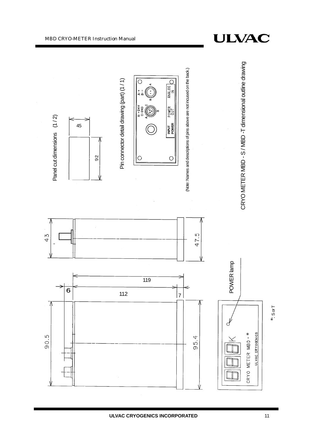

**ULVAC CRYOGENICS INCORPORATED** 11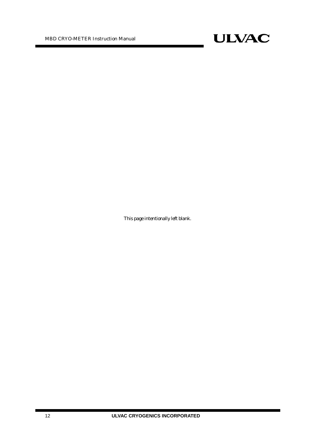

This page intentionally left blank.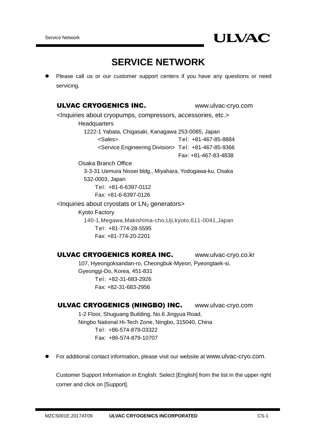**ULVAC** 

# **SERVICE NETWORK**

**Please call us or our customer support centers if you have any questions or need** servicing.

### ULVAC CRYOGENICS INC. www.ulvac-cryo.com

<Inquiries about cryopumps, compressors, accessories, etc.> **Headquarters** 

1222-1 Yabata, Chigasaki, Kanagawa 253-0085, Japan <Sales> Tel: +81-467-85-8884 <Service Engineering Division> Tel: +81-467-85-9366 Fax: +81-467-83-4838

Osaka Branch Office

3-3-31 Uemura Nissei bldg., Miyahara, Yodogawa-ku, Osaka 532-0003, Japan Tel: +81-6-6397-0112 Fax: +81-6-6397-0126

 $\le$ Inquiries about cryostats or  $LN<sub>2</sub>$  generators>

#### Kyoto Factory

140-1,Megawa,Makishima-cho,Uji,kyoto,611-0041,Japan Tel: +81-774-28-5595 Fax: +81-774-20-2201

### ULVAC CRYOGENICS KOREA INC. www.ulvac-cryo.co.kr

107, Hyeongoksandan-ro, Cheongbuk-Myeon, Pyeongtaek-si, Gyeonggi-Do, Korea, 451-831 Tel: +82-31-683-2926 Fax: +82-31-683-2956

### ULVAC CRYOGENICS (NINGBO) INC. www.ulvac-cryo.com

1-2 Floor, Shuguang Building, No.6 Jingyua Road, Ningbo National Hi-Tech Zone, Ningbo, 315040, China Tel: +86-574-879-03322 Fax: +86-574-879-10707

For additional contact information, please visit our website at www.ulvac-cryo.com.

Customer Support Information in English: Select [English] from the list in the upper right corner and click on [Support].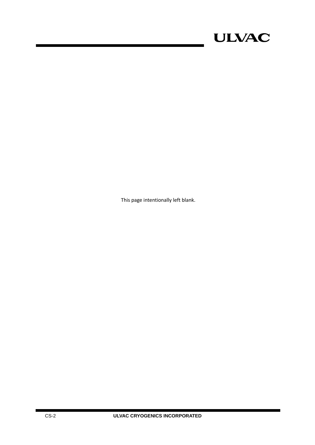# **ULVAC**

This page intentionally left blank.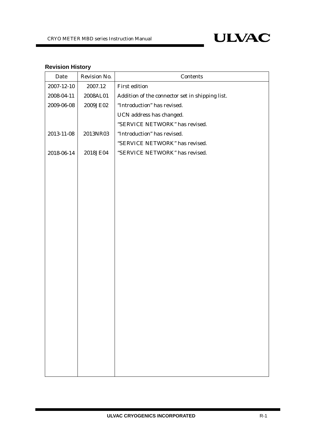

### **Revision History**

| Date       | Revision No. | Contents                                        |  |
|------------|--------------|-------------------------------------------------|--|
| 2007-12-10 | 2007.12      | <b>First edition</b>                            |  |
| 2008-04-11 | 2008AL01     | Addition of the connector set in shipping list. |  |
| 2009-06-08 | 2009JE02     | "Introduction" has revised.                     |  |
|            |              | UCN address has changed.                        |  |
|            |              | "SERVICE NETWORK" has revised.                  |  |
| 2013-11-08 | 2013NR03     | "Introduction" has revised.                     |  |
|            |              | "SERVICE NETWORK" has revised.                  |  |
| 2018-06-14 | 2018JE04     | "SERVICE NETWORK" has revised.                  |  |
|            |              |                                                 |  |
|            |              |                                                 |  |
|            |              |                                                 |  |
|            |              |                                                 |  |
|            |              |                                                 |  |
|            |              |                                                 |  |
|            |              |                                                 |  |
|            |              |                                                 |  |
|            |              |                                                 |  |
|            |              |                                                 |  |
|            |              |                                                 |  |
|            |              |                                                 |  |
|            |              |                                                 |  |
|            |              |                                                 |  |
|            |              |                                                 |  |
|            |              |                                                 |  |
|            |              |                                                 |  |
|            |              |                                                 |  |
|            |              |                                                 |  |
|            |              |                                                 |  |
|            |              |                                                 |  |
|            |              |                                                 |  |
|            |              |                                                 |  |